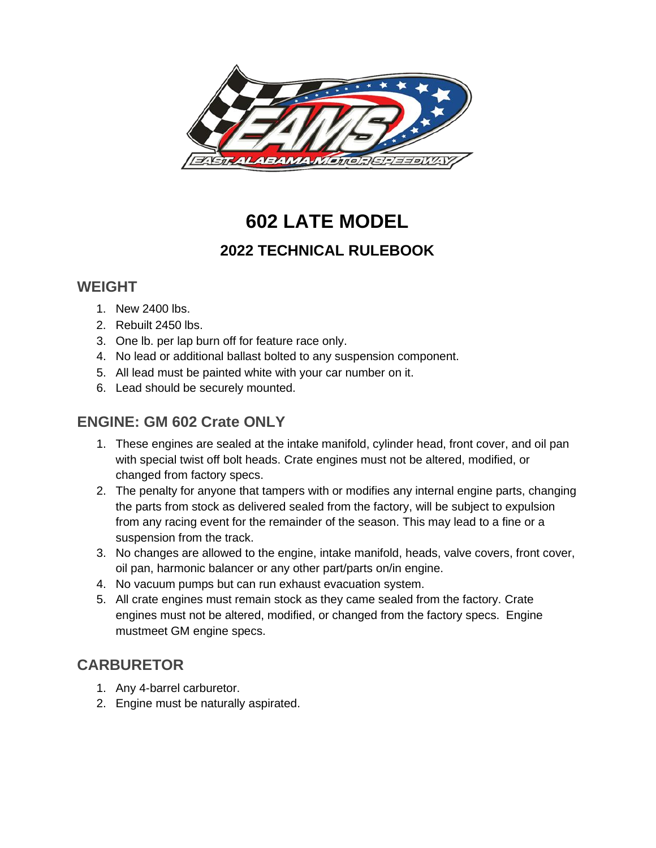

# **602 LATE MODEL**

# **2022 TECHNICAL RULEBOOK**

#### **WEIGHT**

- 1. New 2400 lbs.
- 2. Rebuilt 2450 lbs.
- 3. One lb. per lap burn off for feature race only.
- 4. No lead or additional ballast bolted to any suspension component.
- 5. All lead must be painted white with your car number on it.
- 6. Lead should be securely mounted.

#### **ENGINE: GM 602 Crate ONLY**

- 1. These engines are sealed at the intake manifold, cylinder head, front cover, and oil pan with special twist off bolt heads. Crate engines must not be altered, modified, or changed from factory specs.
- 2. The penalty for anyone that tampers with or modifies any internal engine parts, changing the parts from stock as delivered sealed from the factory, will be subject to expulsion from any racing event for the remainder of the season. This may lead to a fine or a suspension from the track.
- 3. No changes are allowed to the engine, intake manifold, heads, valve covers, front cover, oil pan, harmonic balancer or any other part/parts on/in engine.
- 4. No vacuum pumps but can run exhaust evacuation system.
- 5. All crate engines must remain stock as they came sealed from the factory. Crate engines must not be altered, modified, or changed from the factory specs. Engine mustmeet GM engine specs.

## **CARBURETOR**

- 1. Any 4-barrel carburetor.
- 2. Engine must be naturally aspirated.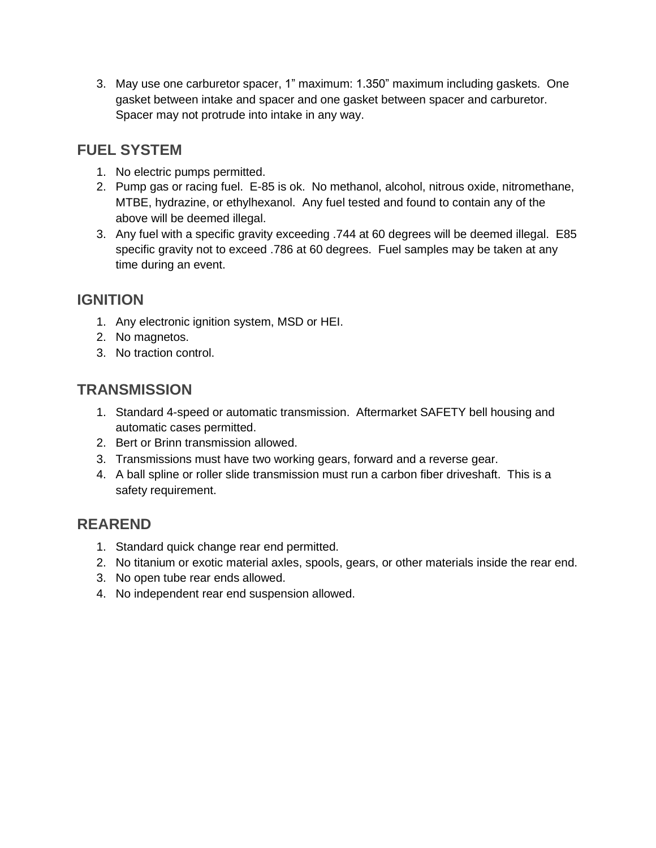3. May use one carburetor spacer, 1" maximum: 1.350" maximum including gaskets. One gasket between intake and spacer and one gasket between spacer and carburetor. Spacer may not protrude into intake in any way.

## **FUEL SYSTEM**

- 1. No electric pumps permitted.
- 2. Pump gas or racing fuel. E-85 is ok. No methanol, alcohol, nitrous oxide, nitromethane, MTBE, hydrazine, or ethylhexanol. Any fuel tested and found to contain any of the above will be deemed illegal.
- 3. Any fuel with a specific gravity exceeding .744 at 60 degrees will be deemed illegal. E85 specific gravity not to exceed .786 at 60 degrees. Fuel samples may be taken at any time during an event.

# **IGNITION**

- 1. Any electronic ignition system, MSD or HEI.
- 2. No magnetos.
- 3. No traction control.

# **TRANSMISSION**

- 1. Standard 4-speed or automatic transmission. Aftermarket SAFETY bell housing and automatic cases permitted.
- 2. Bert or Brinn transmission allowed.
- 3. Transmissions must have two working gears, forward and a reverse gear.
- 4. A ball spline or roller slide transmission must run a carbon fiber driveshaft. This is a safety requirement.

# **REAREND**

- 1. Standard quick change rear end permitted.
- 2. No titanium or exotic material axles, spools, gears, or other materials inside the rear end.
- 3. No open tube rear ends allowed.
- 4. No independent rear end suspension allowed.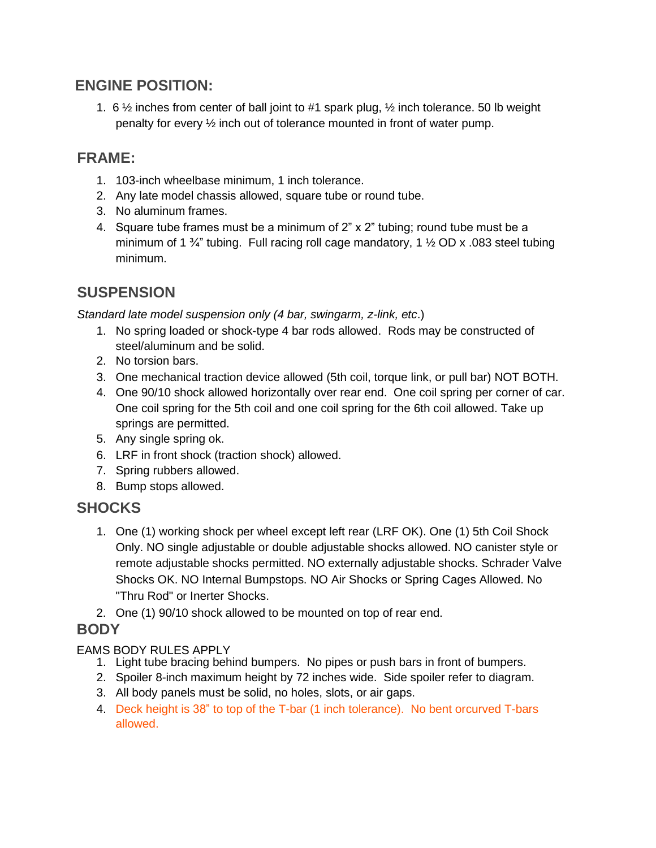#### **ENGINE POSITION:**

1. 6  $\frac{1}{2}$  inches from center of ball joint to #1 spark plug,  $\frac{1}{2}$  inch tolerance. 50 lb weight penalty for every ½ inch out of tolerance mounted in front of water pump.

# **FRAME:**

- 1. 103-inch wheelbase minimum, 1 inch tolerance.
- 2. Any late model chassis allowed, square tube or round tube.
- 3. No aluminum frames.
- 4. Square tube frames must be a minimum of 2" x 2" tubing; round tube must be a minimum of 1  $\frac{3}{4}$ " tubing. Full racing roll cage mandatory, 1  $\frac{1}{2}$  OD x .083 steel tubing minimum.

## **SUSPENSION**

*Standard late model suspension only (4 bar, swingarm, z-link, etc*.)

- 1. No spring loaded or shock-type 4 bar rods allowed. Rods may be constructed of steel/aluminum and be solid.
- 2. No torsion bars.
- 3. One mechanical traction device allowed (5th coil, torque link, or pull bar) NOT BOTH.
- 4. One 90/10 shock allowed horizontally over rear end. One coil spring per corner of car. One coil spring for the 5th coil and one coil spring for the 6th coil allowed. Take up springs are permitted.
- 5. Any single spring ok.
- 6. LRF in front shock (traction shock) allowed.
- 7. Spring rubbers allowed.
- 8. Bump stops allowed.

## **SHOCKS**

- 1. One (1) working shock per wheel except left rear (LRF OK). One (1) 5th Coil Shock Only. NO single adjustable or double adjustable shocks allowed. NO canister style or remote adjustable shocks permitted. NO externally adjustable shocks. Schrader Valve Shocks OK. NO Internal Bumpstops. NO Air Shocks or Spring Cages Allowed. No "Thru Rod" or Inerter Shocks.
- 2. One (1) 90/10 shock allowed to be mounted on top of rear end.

#### **BODY**

#### EAMS BODY RULES APPLY

- 1. Light tube bracing behind bumpers. No pipes or push bars in front of bumpers.
- 2. Spoiler 8-inch maximum height by 72 inches wide. Side spoiler refer to diagram.
- 3. All body panels must be solid, no holes, slots, or air gaps.
- 4. Deck height is 38" to top of the T-bar (1 inch tolerance). No bent orcurved T-bars allowed.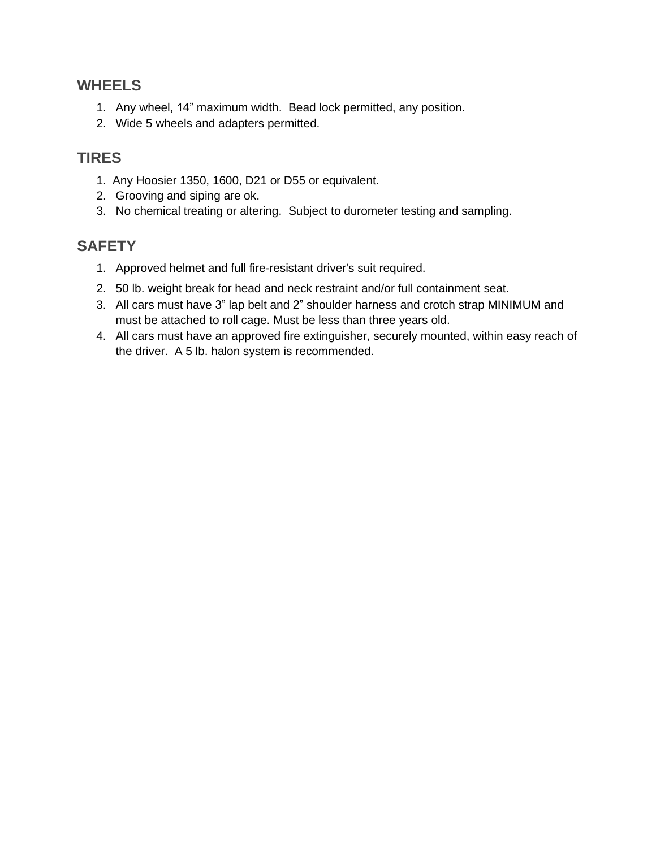#### **WHEELS**

- 1. Any wheel, 14" maximum width. Bead lock permitted, any position.
- 2. Wide 5 wheels and adapters permitted.

#### **TIRES**

- 1. Any Hoosier 1350, 1600, D21 or D55 or equivalent.
- 2. Grooving and siping are ok.
- 3. No chemical treating or altering. Subject to durometer testing and sampling.

#### **SAFETY**

- 1. Approved helmet and full fire-resistant driver's suit required.
- 2. 50 lb. weight break for head and neck restraint and/or full containment seat.
- 3. All cars must have 3" lap belt and 2" shoulder harness and crotch strap MINIMUM and must be attached to roll cage. Must be less than three years old.
- 4. All cars must have an approved fire extinguisher, securely mounted, within easy reach of the driver. A 5 lb. halon system is recommended.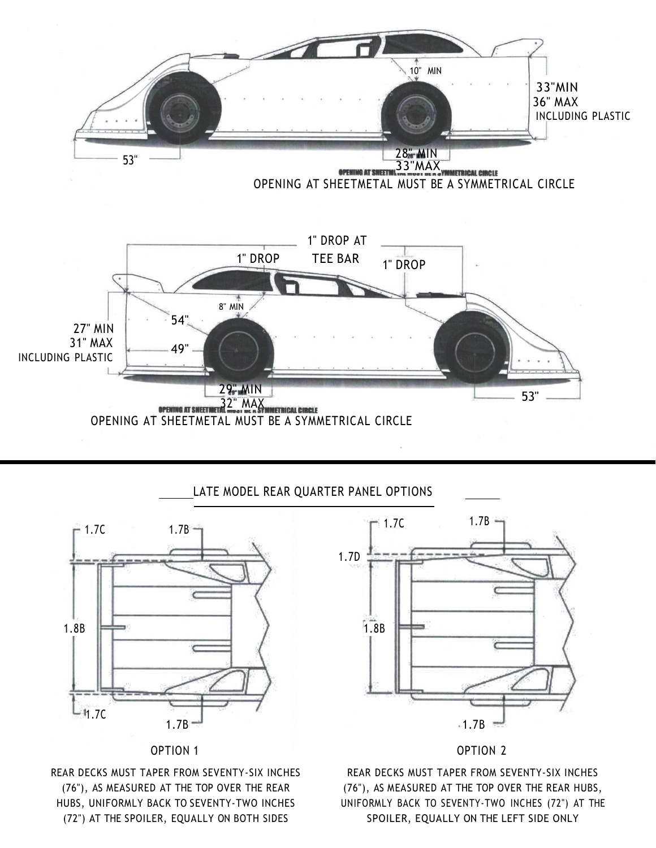

#### LATE MODEL REAR QUARTER PANEL OPTIONS



OPTION 1

REAR DECKS MUST TAPER FROM SEVENTY-SIX INCHES (76"), AS MEASURED AT THE TOP OVER THE REAR HUBS, UNIFORMLY BACK TO SEVENTY-TWO INCHES (72") AT THE SPOILER, EQUALLY ON BOTH SIDES



#### OPTION 2

REAR DECKS MUST TAPER FROM SEVENTY-SIX INCHES (76"), AS MEASURED AT THE TOP OVER THE REAR HUBS, UNIFORMLY BACK TO SEVENTY-TWO INCHES (72") AT THE SPOILER, EQUALLY ON THE LEFT SIDE ONLY